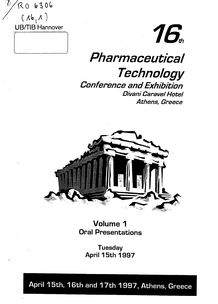



# **Pharmaceutical Technology Conference and Exhibition** Divani Caravel Hotel Athens, Greece



**Volume 1 Oral** Presentations

**Tuesday** April 15th 1997

April 15th, 16th and 17th 1997, Athens, Greece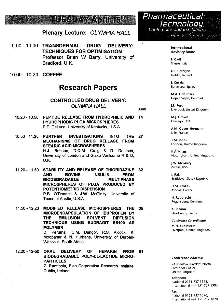## UES DAYY AOR

## **Plenary Lecture: OLYMPIA HALL**

- 9.00 10.00 **TRANSDERMAL DRUG DELIVERY: TECHNIQUES FOR OPTIMISATION** Professor Brian W Barry, University of Bradford, U.K.
- 10.00-10.20 **COFFEE**

## Research Papers

## **CONTROLLED DRUG DELIVERY:** OLYMPIA HALL

**PACK**

- 10.20-10.50 **PEPTIDE RELEASE FROM HYDROPHILIC AND 14 HYDROPHOBIC PLGA MICROSPHERES** P.P. DeLuca, University of Kentucky, U.S.A.
- 10.50-11.20 **FURTHER INVESTIGATIONS INTO THE 27 MECHANISMS OF DRUG RELEASE FROM STEARIC ACID MICROSPHERES** H.J. Robson, D.Q.M. Craig & D. Deutsch, University of London and Glaxo Wellcome R & D, U.K.

11.20-11.50 **STABILITY AND RELEASE OF THIORIDAZINE 32 AND BOVINE INSULIN FROM BIODEGRADABLE MULTIPHASE MICROSPHERES OF PLGA PRODUCED BY POTENTIOMETRIC DISPERSION** P.B. O'Donnell & J.W. McGinity, University of Texas at Austin, U.S.A.

11.50-12.20 **MODIFIED RELEASE MICROSPHERES: THE 35 MICROENCAPSULATION OF IBUPROFEN BY THE EMULSION SOLVENT DIFFUSION TECHNIQUE USING EUDRAGIT RS100 AS POLYMER**

D. Perumal, CM. Dangor, R.S. Alcock, K. Moopanar & N. Hurbans, University of Durban-Westville, South Africa.

12.20-12-50 **ORAL DELIVERY OF HEPARIN FROM 51 BIODEGRADABLE POLY-DL-LACTIDE MICRO-PARTICLES**

Z. Ramtoola, Elan Corporation Research Institute, Dublin, Ireland



**International Advisory Board**

**F. Carli** Trieste, Italy

**O.I. Corrigan** Dublin, Ireland.

). **Cucala** Barcelona, Spain.

**M.A. Donsmark** Copenhagen, Denmark.

**|.L. Ford** Liverpool, United Kingdom.

**M.J. Groves** Chicago, USA.

**A.M. Guyot-Hermann** Lille, France.

**T.M. Jones** London, United Kingdom.

**K.A. Khan** Nottingham, United Kingdom.

**J.W. McGinity** Austin, USA.

**J. Rak** Bratislava, Slovak Republic.

**D.M. Rekkas** Athens, Greece.

**H. Rupprecht** Regensburg, Germany.

**A. Stamm** Strasbourg, France.

**Conference Co-ordinator M.H. Rubinstein** Liverpool, United Kingdom.

### **Conference Address:**

24 Menlove Gardens North, Liverpool L18 2EJ, United Kingdom

Telephone: National 0151 737 1993, International +44 151 737 1993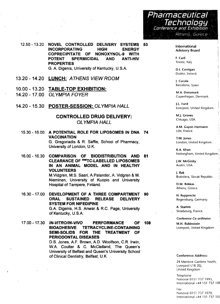

12.50-13.20 **NOVEL CONTROLLED DELIVERY SYSTEMS INCORPORATING HIGH ENERGY COPRECIPITATE OF NONOXYNOL-9 WITH POTENT SPERMICIDAL AND ANTI-HIV PROPERTIES** G. A. Digenis, University of Kentucky, U.S.A.

- **13.20 -14.20 LUNCH:** ATHENS VIEW ROOM
- 10.00-13.20 **TABLE-TOP EXHIBITION:**
- 14.20 17.00 OLYMPIA FOYER
- 14.20 -15.30 **POSTER-SESSION:** OLYMPIA HALL

## **CONTROLLED DRUG DELIVERY:** OLYMPIA HALL

- 15.30 -16.00 **A POTENTIAL ROLE FOR LIPOSOMES IN DNA** 74 **VACCINATION** G. Gregoriadis & R. Saffie, School of Pharmacy, University of London, U.K.
- 16.00-16.30 **COMPARISON OF BIODISTRIBUTION AND CLEARANCE OF MMTC-LABELLED LIPOSOMES IN AN ANIMAL MODEL AND IN HEALTHY VOLUNTEERS** M.Vidgren, M.S. Saari, APalander, A. Vidgren & M. Nieminen, University of Kuopio and University Hospital of Tampere, Finland. 81
- 16.30 -17.00 **DEVELOPMENT OF A THREE COMPARTMENT ORAL SUSTAINED RELEASE DELIVERY SYSTEM FOR NIFEDIPINE** G.A. Digenis, H.S. Anwar & R.C. Page, University of Kentucky, U.S.A. 90

17.00-17.30 **IN-VITRO/IN-VIVO PERFORMANCE OF BIOADHESIVE TETRACYCLINE-CONTAINING SEMI-SOLIDS FOR THE TREATMENT OF PERIODONTAL DISEASES** D.S. Jones, A.F. Brown, A.D. Woolfson, C.R. Irwin, W.A. Coulter & C. McClelland, The Queen's University of Belfast and Queen's University School of Clinical Dentistry, Belfast, U.K. **108**

53

**International , Advisory Board j**

**F. Carli j** Trieste, Italy '

**O.I. Corrigan** ' Dublin, Ireland.

]. **Cucala** Barcelona, Spain i

**M.A. Donsmark** Copenhagen, Denmark.

**|.L. Ford** | Liverpool, United Kingdom.

**M.J. Groves** Chicago, USA.

**A.M. Guyot-Hermann** Lille, France.

**T.M. Jones** London, United Kingdom.

**K.A. Khan** j Nottingham, United Kingdom.;

**|.W. McGinity** Austin, USA.

**J. Rak** Bratislava, Slovak Republic. ,

!

**D.M. Rekkas** Athens, Greece.

**H. Rupprecht** Regensburg, Germany.

**A. Stamm** Strasbourg, France.

**Conference Co-ordinator**

**M.H. Rubinstein** Liverpool, United Kingdom.

### **Conference Address:**

24 Menlove Gardens North, Liverpool L18 2EJ, United Kingdom

Telephone-National 0151 737 1993, International +44 151 737 199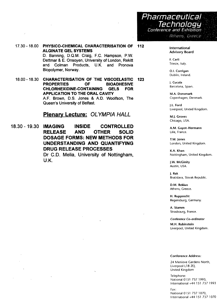Pharmaceutical **Technology** Conference and Exhibition Athens, Greece

**17.30-18.00 PHYSICO-CHEMICAL CHARACTERISATION OF ALGINATE GEL SYSTEMS** D. Banning, D.Q.M. Craig, F.C. Hampson, P.W. Dettmar & E. Onsoyen, University of London, Rekitt and Colman Products, U.K. and Pronova Biopolymer, Norway. **112**

18.00-18.30 **CHARACTERISATION OF THE VISCOELASTIC PROPERTIES OF BIOADHESIVE CHLORHEXIDINE-CONTAINING GELS FOR APPLICATION TO THE ORAL CAVITY** A.F. Brown, D.S. Jones & A.D. Woolfson, The Queen's University of Belfast. **123**

## **Plenary Lecture: OLYMPIA HALL**

18.30-19.30 **IMAGING INSIDE CONTROLLED RELEASE AND OTHER SOLID DOSAGE FORMS: NEW METHODS FOR UNDERSTANDING AND QUANTIFYING DRUG RELEASE PROCESSES**

Dr C.D. Melia, University of Nottingham, U.K.

International Advisory Board

**F. Carli** Trieste, Italy.

**O.I. Corrigan** Dublin, Ireland.

**J. Cucala** Barcelona, Spam.

**M.A. Donsmark** Copenhagen, Denmark.

**J.L. Ford** Liverpool, United Kingdom.

**M.J. Groves** Chicago, USA.

**A.M. Guyot-Hermann** Lille, France.

**T.M. Jones** London, United Kingdom.

**K.A. Khan** Nottingham, United Kingdom.

**J.W. McGinity** Austin, USA.

J. **Rak** Bratislava, Slovak Republic.

**D.M. Rekkas** Athens, Greece.

**H. Rupprecht** Regensburg, Germany.

**A. Stamm** Strasbourg, France.

**Conference Co-ordinator**

**M.M. Rubinstein** Liverpool, United Kingdom.

### **Conference Address:**

24 Meniove Gardens North, Liverpool L18 2EJ, United Kingdom

Telephone: National 0151 737 1993, International +44 151 737 1993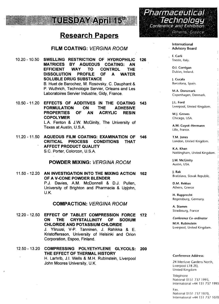

## **Research Papers**

## **FILM COATING:** VERGINA ROOM

10.20-10.50 **SWELLING RESTRICTION OF HYDROPHILIC MATRICES BY AQUEOUS COATING: AN EFFICIENT WAY TO CONTROL THE DISSOLUTION PROFILE OF A WATER SOLUBLE DRUG SUBSTANCE** B. Huet de Barochez, M. Rosovsky, C. Dauphant & P. Wuthrich, Technologie Servier, Orleans and Les Laboratoires Servier Industrie, Gidy, France. 126

10.50 - 11.20 EFFECTS OF ADDITIVES IN THE COATING 1**43 THE ADHESIVE ACRYLIC RESIN FORMULATION ON PROPERTIES OF AN COPOLYMER** L.A. Fenton & J.W. McGinity, The University of Texas at Austin, U.S.A.

**11.20** - 11.50 **AQUEOUS FILM COATING: EXAMINATION OF 146 CRITICAL PROCESS CONDITIONS THAT AFFECT PRODUCT QUALITY** S.C. Porter, Colorcon, U.S.A.

### **POWDER MIXING:** VERGINA ROOM

11.50 - 12.20 **AN INVESTIGATION INTO THE MIXING ACTION 162 OF A V-CONE POWDER BLENDER** P.J. Davies, A.M. McDonnell & D.J. Pullen, University of Brighton and Pharmacia & Upjohn, U.K.

### **COMPACTION:** VERGINA ROOM

12.20-12.50 **EFFECT OF TABLET COMPRESSION FORCE 172 ON THE CRYSTALLINITY OF SODIUM CHLORIDE AND POTASSIUM CHLORIDE** J. Yliruusi, V-P. Tanninen, J. Rahikka & E. Kristoffersson, University of Helsinki and Orion Corporation, Espoo, Finland.

12.50-13.20 **COMPRESSING POLYETHYLENE GLYCOLS: THE EFFECT OF THERMAL HISTORY** H. Larhrib, J.I. Wells & M.H. Rubinstein, Liverpool John Moores University, U.K. **200**

Pharmaceutical Technology Conference and Exhibition Athens, Greece

### International Advisory Board

**F. Carli** Trieste, Italy. '

**O.I. Corrigan** Dublin, Ireland.

**J. Cucala** Barcelona, Spain.

**M.A. Donsmark** j Copenhagen, Denmark. !

**J.L. Ford** | Liverpool, United Kingdom.

**M.J. Groves** ; Chicago, USA.

**A.M.- Guyot-Hermann** '• Lille, France.

**T.M. Jones** London, United Kingdom.

**K.A. Khan** ) Nottingham, United Kingdom. •

**J.W. McGinity** . Austin, USA. \

J. **Rak** i Bratislava, Slovak Republic. !

**D.M. Rekkas** ; Athens, Greece

**H. Rupprecht** Regensburg, Germany.

**A. Stamm** j Strasbourg, France

**Conference Co-ordinator**

**M.H. Rubinstein** Liverpool, United Kingdom.

#### **Conference Address:**

24 Menlove Gardens North, Liverpool LI 8 2E|, United Kingdom

**Telephone** National 0151 737 1993, ; International +44 151 737 1993i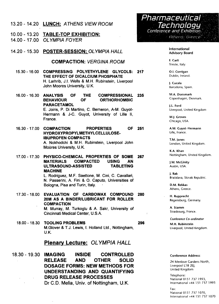13.20 - 14.20 **LUNCH:** ATHENS VIEW ROOM 10.00-13.20 **TABLE-TOP EXHIBITION:** 14.00 - 17.00 OLYMPIA FOYER 14.20 -15.30 **POSTER-SESSION:** OLYMPIA HALL **COMPACTION:** VERGINA ROOM **15.30-16.00 COMPRESSING POLYETHYLENE GLYCOLS: 217 THE EFFECT OF DICALCIUM PHOSPHATE** H. Larhrib, J.I. Wells & M.H. Rubinstein, Liverpool John Moores University, U.K. **COMPRESSIONAL 235 ORTHORHOMBIC** 16.00-16.30 **ANALYSIS OF THE BEHAVIOUR PARACETAMOL** E. Joiris, P. Di Martino, C. Bemeron, A-M. Guyot-Hermann & J-C. Guyot, University of Lille II, France. 16.30-17.00 **COMPACTION PROPERTIES OF 251 HYDROXYPROPYLMETHYLCELLULOSE-IBUPROFEN COMPACTS** A. Nokhodchi & M.H. Rubinstein, Liverpool John Moores University, U.K. 17.00-17.30 **PHYSICO-CHEMICAL PROPERTIES OF SOME 267 MATERIALS COMPACTED USING AN ULTRASOUND-ASSISTED TABLETING MACHINE** L. Rodriguez, M.F. Saettone, M. Cini, C. Cavallari,

N. Passerini, A. Fini & O. Caputo, Universities of Bologna, Pisa and Turin, Italy.

- 17.30-18.00 **EVALUATION OF CARBOWAX COMPOUND 280 20M AS A BINDER/LUBRICANT FOR ROLLER COMPACTION** M. Murray, M. Turkoglu & A. Sakr, University of Cincinnati Medical Center, U.S.A.
- 18.00-18.30 **TOOLING PROBLEMS 296** M.Glover & T.J. Lewis, I. Holland Ltd., Nottingham, U.K.

## **Plenary Lecture: OLYMPIA HALL**

18.30-19.30 **IMAGING INSIDE CONTROLLED RELEASE AND OTHER SOLID DOSAGE FORMS: NEW METHODS FOR UNDERSTANDING AND QUANTIFYING DRUG RELEASE PROCESSES** Dr C.D. Melia, Univ. of Nottingham, U.K.



### International Advisory Board

**F. Carli** Trieste, Italy.

**O.I. Corrigan** Dublin, Ireland.

**J. Cucala** Barcelona, Spain.

**M.A. Donsmark** Copenhagen, Denmark.

**|.L. Ford** Liverpool, United Kingdom

**M.J. Groves** Chicago, USA.

**A.M. Guyot-Hermann** Lille, France.

**T.M. |ones** London, United Kingdom.

**K.A. Khan** Nottingham, United Kingdom.

**).W. McGinity** Austin, USA.

J. **Rak** Bratislava, Slovak Republic.

**D.M. Rekkas** Athens, Greece.

**H. Rupprecht** Regensburg, Germany.

**A. Stamm** Strasbourg, France.

**Conference Co-ordinator**

**M.H. Rubinstein** Liverpool, United Kingdom.

### **Conference Address:**

24 Menlove Gardens North, Liverpool LI 8 2EJ, United Kingdom

Telephone: National 0151 737 1993, International +44 151 737 1993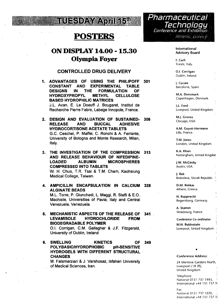

## **POSTERS**

## **ON DISPLAY 14.00 - 15.30 Olympia Foyer**

## **CONTROLLED DRUG DELIVERY**

- **1. ADVANTAGES OF USING THE PHILIPOFF 301 CONSTANT AND EXPERIMENTAL TABLE DESIGNS IN THE FORMULATION OF HYDROXYPROPYL METHYL CELLULOSE BASED HYDROPHILIC MATRICES** J.L. Avan, E. Le Doeuff J. Bougaret, Institut de Recherche Pierre Fabre, Labege Innopole, France.
- **2. DESIGN AND EVALUATION OF SUSTAINED- 306 RELEASE AND BUCCAL ADHESIVE HYDROCORTISONE ACETATE TABLETS** G.C. Ceschel, P. Maffei, C. Ronchi & A. Ferrante, University of Bologna and Monte Research, Milan, Italy.
- **3. THE INVESTIGATION OF THE COMPRESSION 313 AND RELEASE BEHAVIOUR OF NIFEDIPINE-LOADED ALBUMIN MICROSPHERES COMPRESSED INTO TABLETS** W. H. Chuo, T.R. Tsai & T.M. Cham, Kaohsiung Medical College, Taiwan.
- 4. **AMPICILLIN ENCAPSULATION IN CALCIUM 328 ALGINATE BEADS** M.L. Torre, P. Giunchedi, L. Maggi, R. Stefli & E.O., Machiste, Universities of Pavia, Italy and Central Venezuela, Venezuela.
- 5. **MECHANISTIC ASPECTS OF THE RELEASE OF 341 LEVAMISOLE HYDROCHLORIDE FROM BIODEGRADABLE POLYMER** O.I. Corrigan, CM. Gallagher & J.F. Fitzgerald, University of Dublin, Ireland
- **6. SWELLING KINETICS OF 349 POLYBASIC/HYDROPHOBIC pH-SENSITIVE HYDROGELS WITH DIFFERENT STRUCTURAL CHANGES**

M. Falamarzian & J. Varshosaz, Isfahan University of Medical Sciences, Iran.

Pharmaceutical Technology Conference and Exhibition Athens, Greece

### International Advisory Board

**F. Carli** Trieste, Italy.

**O.I. Corrigan** ; Dublin, Ireland

**J. Cucala** Barcelona, Spain.

**M.A. Donsmark** Copenhagen, Denmark.

**J.L Ford** Liverpool, United Kingdom.

**M.J. Groves** Chicago, USA.

**A.M. Guyot-Hermann** Lille, France.

**T.M. Jones** London, United Kingdom.

**K.A. Khan** Nottingham, United Kingdom

**J.W. McGinity** Austin, USA.

J. **Rak** Bratislava, Slovak Republic. \

**D.M. Rekkas** Athens, Greece.

**H. Rupprecht** Regensburg, Germany.

**A. Stamm** , Strasbourg, France.

**Conference Co-ordinator**

**M.H. Rubinstein** ' Liverpool, United Kingdom. •

**Conference Address:**

24 Menlove Gardens North, Liverpool L18 2EJ, United Kingdom

Telephone. National 0151 737 1993, ' International +44 151 737 19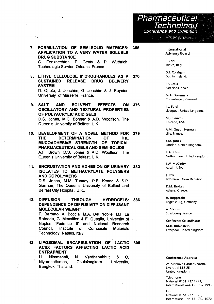Pharmaceutical Technology Conference and Exhibition **Athens: Greece** 

**7. FORMULATION OF SEMI-SOLID MATRICES: 355 APPLICATION TO A VERY WATER SOLUBLE DRUG SUBSTANCE** G. Fonknechten, P. Genty & P. Wuthrich, Technologie Servier, Orleans, France.

 $\sim$  1

- **8. ETHYL CELLULOSE MICROGRANULES AS A 370 SUSTAINED RELEASE DRUG DELIVERY SYSTEM** D. Opota, J. Joachim, G. Joachim & J. Reynier, University of Marseille, France.
- **9. SALT AND SOLVENT EFFECTS ON 376 OSCILLATORY AND TEXTURAL PROPERTIES OF POLYACRYLIC ACID GELS** D.S. Jones, M.C. Bonner & A.D. Woolfson, The Queen's University of Belfast, U.K.
- **10. DEVELOPMENT OF A NOVEL METHOD FOR 379 THE DETERMINATION OF THE MUCOADHESIVE STRENGTH OF TOPICAL PHARMACEUTICAL GELS AND SEMI-SOLIDS** A.F. Brown, D.S. Jones & A.D. Woolfson, The Queen's University of Belfast, U.K.
- **11. ENCRUSTATION AND ADHESION OF URINARY 382 ISOLATES TO METHACRYLATE POLYMERS AND COPOLYMERS** D.S. Jones, M.M. Tunney, P.F. Keane & S.P. Gorman, The Queen's University of Belfast and Belfast City Hospital, U.K.,
- **12. DIFFUSION THROUGH HYDROGELS: 386 DEPENDENCE OF DIFFUSIVITY ON DIFFUSANT MOLECULAR WEIGHT** F. Barbate, A. Boccia, MA. Del Nobile, M.I. La Rotonda, G. Mensitieri & F. Quaglia, University of Naples 'Federico II' and National Research Council, Institute of Composite Materials Technology, Naples, Italy.
- **13. LIPOSOMAL ENCAPSULATION OF LACTIC 390 ACID: FACTORS AFFECTING LACTIC ACID ENTRAPMENT**

U. Nimmannit, Niyompattamah, Bangkok, Thailand. N. Vardhanabhuti & O. Chulalongkorn University, **International Advisory Board**

**F. Carli** Trieste, Italy.

**O.I. Corrigan** Dublin, Ireland.

**J. Cucala** Barcelona, Spain.

**M.A. Donsmark** Copenhagen, Denmark.

**J.L. Ford** Liverpool, United Kingdom.

**M.J. Groves** Chicago, USA.

**A.M. Guyot-Hermann** Lille, France.

**T.M. Jones** London, United Kingdom.

**K.A. Khan** Nottingham, United Kingdom.

**J.W. McGinity** Austin, USA.

J. **Rak** Bratislava, Slovak Republic.

**D.M. Rekkas** Athens, Greece.

**H. Rupprecht** Regensburg, Germany.

**A. Stamm** Strasbourg, France.

**Conference Co-ordinator M.H. Rubinstein** Liverpool, United Kingdom.

### **Conference Address:**

24 Menlove Gardens North, Liverpool L18 2EJ, United Kingdom

Telephone: National 0151 737 1993, International +44 151 737 1993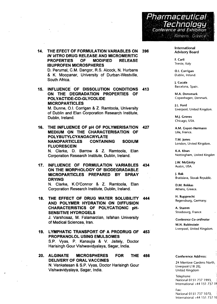

**14. THE EFECT OF FORMULATION VARIABLES ON 396 IN VITRO DRUG RELEASE AND MICROMERITIC PROPERTIES OF MODIFIED RELEASE IBUPROFEN MICROSPHERES** D. Perumal, C.M. Dangor, R.S. Alcock, N. Hurbans & K. Moopanar, University of Durban-Westville, South Africa.

**15. INFLUENCE OF DISSOLUTION CONDITIONS 413 ON THE DEGRADATION PROPERTIES OF POLYACTIDE-CO-GLYCOLIDE MICROPARTICLES**

M. Dunne, O.I. Corrigan & Z. Ramtoola, University of Dublin and Elan Corporation Research Institute, Dublin, Ireland.

- **16. THE INFLUENCE OF pH OF POLYMERISATION 427 MEDIUM ON THE CHARACTERISATION OF POLYBUTYLCYANOACRYLATE NANOPARTICLES CONTAINING SODIUM FLUORESCEIN N.** Clarke, D. Barrow & Z. Ramtoola, Elan Corporation Research Institute, Dublin, Ireland.
- **17. INFLUENCE OF FORMULATION VARIABLES 434 ON THE MORPHOLOGY OF BIODEGRADABLE MICROPARTICLES PREPARED BY SPRAY DRYING**

N. Clarke, K.O'Connor & Z. Ramtoola, Elan Corporation Research Institute, Dublin, Ireland.

**18. THE EFFECT OF DRUG WATER SOLUBILITY 444 AND POLYMER HYDRATION ON DIFFUSION CHARACTERISTICS OF POLYCATIONIC pH-SENSITIVE HYDROGELS**

J. Varshosaz, M. Falamarzian, Isfahan University of Medical Sciences, Iran.

- **19. LYMPHATIC TRANSPORT OF A PRODRUG OF 453 PROPRANOLOL USING EMULSOMES** S.P. Vyas, P. Kanaujia & V. Jaitely, Doctor Harisingh Gour Vishwavidyalaya, Sagar, India.
- **20. ALGINATE MICROSPHERES FOR THE 456 DELIVERY OF ORAL VACCINES** N. Venkatesan & S.P. Vyas, Doctor Harisingh Gour Vishwavidyalaya, Sagar, India.

International Advisory Board

**F. Carli** Trieste, Italy

**O.I. Corrigan** Dublin, Ireland.

**J. Cucala** Barcelona, Spain.

**M.A. Donsmark** Copenhagen, Denmark.

**J.L. Ford** Liverpool, United Kingdom.

**M.J. Groves** Chicago, USA.

**A.M. Guyot-Hermann** Lille, France.

**T.M. Jones** London, United Kingdom.

**K.A. Khan** Nottingham, United Kingdom

**J.W. McGinity** Austin, USA.

J. **Rak** Bratislava, Slovak Republic.

**D.M. Rekkas** Athens, Greece.

**H. Rupprecht** Regensburg, Germany.

**A. Stamm** Strasbourg, France.

Conference **Co-ordinator**

**M.H. Rubinstein** Liverpool, United Kingdom.

#### **Conference Address:**

24 Menlove Gardens North, Liverpool L18 2E|, United Kingdom

Telephone '< National 0151 737 1993, i International +44 151 737 19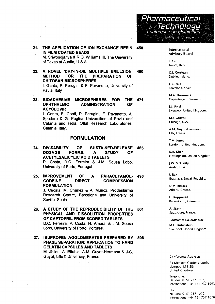

#### 21. **THE APPLICATION OF ION EXCHANGE RESIN IN FILM COATED BEADS** M. Sriwongjanya & R.O. Williams III, The University **458**

of Texas at Austin, U.S.A.

22. **A NOVEL 'DRY-IN-OIL MULTIPLE EMULSION' METHOD FOR THE PREPARATION OF CHITOSAN MICROSPHERES** I. Genta, P. Perugini & F. Pavanetto, University of Pavia, Italy **460**

23. **MICROSPHERES FOR BIOADHESIVE 471 ADMINISTRATION THE OF OPHTHALMIC ACYCLOVIR**

I. Genta, B. Conti, P. Perugini, F. Pavanetto, A. Spadaro & G. Puglisi, Universities of Pavia and Catania and Fidia, Oftal Research Laboratories, Catania, Italy.

## **FORMULATION**

- **24. DIVISABILITY OF SUSTAINED-RELEASE 485 DOSAGE FORMS: A STUDY OF ACETYLSALICYLIC ACID TABLETS** P. Costa, D.C. Ferreira & J.M. Sousa Lobo, University of Porto, Portugal.
- 25. **IMPROVEMENT OF A PARACETAMOL- 493 CODEINE DIRECT COMPRESSION FORMULATION** J. Cucala, M. Charlez & A. Munoz, Prodesfarma

Research Centre, Barcelona and University of Seville, Spain.

- **26. A STUDY OF THE REPRODUCIBILITY OF THE 501 PHYSICAL AND DISSOLUTION PROPERTIES OF CAPTOPRIL FROM SCORED TABLETS D.C.** Ferreira, **P.** Costa, **H.** Amaral **& J.M.** Sousa Lobo, University **of** Porto, Portugal.
- **27. IBUPROFEN AGGLOMERATES PREPARED BY 508 PHASE SEPARATION: APPLICATION TO HARD GELATIN CAPSULES AND TABLETS** M. Jbilou, A. Ettabia, A-M. Guyot-Hermann & J-C. Guyot, Lille II University, France.

International Advisory Board

**F. Carli** Trieste, Italy.

**O.I. Corrigan** Dublin, Ireland.

**J. Cucala** Barcelona, Spain

**M.A. Donsmark** Copenhagen, Denmark.

**J.L. Ford** Liverpool, United Kingdom.

**M.J. Groves** Chicago, USA.

**A.M. Guyot-Hermann** Lille, France.

**T.M. Jones** London, United Kingdom.

**K.A. Khan** Nottingham, United Kingdom.

**J.W. McGinity** Austin, USA.

J. **Rak** Bratislava, Slovak Republic.

**D.M. Rekkas** Athens, Greece.

**H. Rupprecht** Regensburg, Germany.

**A. Stamm** Strasbourg, France.

**Conference Co-ordinator**

**M.H. Rubinstein** Liverpool, United Kingdom.

### **Conference Address:**

24 Menlove Gardens North, Liverpool L18 2E|, United Kingdom

Telephone: National 0151 737 1993, International +44 151 737 1993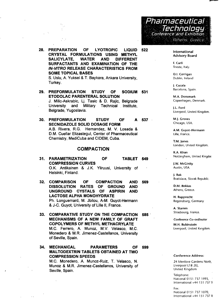Pharmaceutical<br>Technology ^Conference fand Exhibition Athens: Greece

- **28. PREPARATION OF LYOTROPIC LIQUID CRYSTAL FORMULATIONS USING METHYL SALICYLATE, WATER AND DIFFERENT SURFACTANTS AND EXAMINATION OF THE IN-VITRO RELEASE CHARACTERISTICS FROM SOME TOPICAL BASES** S. Uslu, A. Yuksel & T. Baykara, Ankara University, Turkey.
- **29. PREFORMULATION STUDY OF SODIUM 531 ETODOLAC PARENTERAL SOLUTION** J. Milic-Askrabic, Lj. Tasic & D. Rajic, Belgrade University and Military Technical Institute, Belgrade, Yugoslavia.
- **30. PREFORMULATION STUDY OF A 537 SECNIDAZOLE SOLID DOSAGE FORM** A.B. Rivera, R.G. Hernandez, M. V. Losada & D.M. Cuellar Elizastegul, Center of Pharmaceutical Chemistry, MediCuba and CIDEM, Cuba.

### **COMPACTION**

- **31. OF PARAMETRIZATION OF TABLET 549 COMPRESSION CURVES** O.K. Antikainen & J.K. Yliruusi, University of Helsinki, Finland.
- **32. COMPARISON OF COMPACTION AND 569 DISSOLUTION RATES OF GROUND AND UNGROUND CYSTALS OF ASPIRIN AND LACTOSE ALPHA MONOHYDRATE** Ph. Longuemard, M. Jbilou, A-M. Guyot-Hermann & J-C. Guyot, University of Lille II, France.
- **33. COMPARATIVE STUDY ON THE COMPACTION 585 MECHANISMS OF A NEW FAMILY OF GRAFT COPOLYMERS OF METHYL METHACRYLATE** M.C. Ferrero, A. Munoz, M.V. Velasco, M.C. Monedero & M.R. Jimenez-Castellanos, University of Seville, Spain.
- **34. MECHANICAL PARAMETERS OF 599 MALTODEXTRIN TABLETS OBTAINED AT TWO COMPRESSION SPEEDS** M.C. Monedero, A. Munoz-Ruiz, T. Velasco, N.

Munoz & M.R. Jimenez-Castellanos, University of Seville, Spain.

**522**

International Advisory Board

**F. Carli** Trieste, Italy.

**O.I. Corrigan** Dublin, Ireland

**J. Cucala** Barcelona, Spain.

**M.A. Donsmark** Copenhagen, Denmark.

**J.L. Ford** Liverpool, United Kingdom.

**M.J. Groves** Chicago, USA.

**A.M. Guyot-Hermann** Lille, France.

**T.M. Jones** London, United Kingdom.

**K.A. Khan** Nottingham, United Kingdor

**J.W. McGinity** Austin, USA.

**J. Rak** Bratislava, Slovak Republic.

**D.M. Rekkas** Athens, Greece.

**H. Rupprecht** Regensburg, Germany

**A. Stamm** Strasbourg, France.

**Conference Co-ordinator**

**M.H. Rubinstein** Liverpool, United Kingdom.

#### **Conference Address:**

24 Menlove Gardens North, Liverpool L18 2EJ, United Kingdom

Telephone: National 0151 737 1993, International +44 151 7371)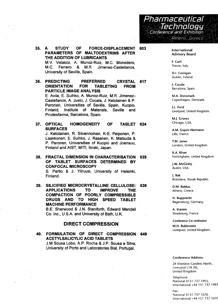

**35. A STUDY OF FORCE-DISPLACEMENT 603 PARAMETERS OF MALTODEXTRINS AFTER THE ADDITION OF LUBRICANTS** M.V. Velasco, A. Munoz-Ruiz, M.C. Monedero, M.C. Ferrero & M.R. Jimenez-Castellanos, University of Seville, Spain.

**36. PREDICTING PREFERRED CRYSTAL 617**<br>**CORIENTATION FOR TABLETING FROM ORIENTATION FOR TABLETING FROM PARTICLE IMAGE ANALYSIS** E. Avila, E. Suihko, A. Munoz-Ruiz, M.R. Jimenez-Castellanos, A. Justo, J. Cucala, J. Ketolainen & P.

Paronen, Universities of Seville, Spain, Kuopio, Finland, Institute of Materials, Seville and Prodesfarma, Barcelona, Spain.

**37. OPTICAL HOMOGENEITY OF TABLET 624 SURFACES**

J. Ketolainen, R. Silvennoinen, K-E. Peiponen, P. Laakkonen, E. Suihko, J. Rasanen, K. Matsuda & P. Paronen, Universities of Kuopio and Joensuu, Finland and AIST, MITI, Ibraki, Japan.

**38. FRACTAL DIMENSION IN CHARACTERISATION 629 OF TABLET SURFACES DETERMINED BY CONFOCAL MICROSCOPY**

S. Partio & J. Yliruusi, University of Helsinki, Finland.

**39. SILICIFIED MICROCRYSTALLINE CELLULOSE: 639 APPLICATIONS TO IMPROVE THE COMPACTION OF POORLY COMPRESSIBLE DRUGS AND TO HIGH SPEED TABLET MACHINE PERFORMANCE**

B.E. Sherwood & J.N. Staniforth, Edward Mendell Co. Inc., U.S.A. and University of Bath, U.K.

## **DIRECT COMPRESSION**

**40. FORMULATION OF DIRECT COMPRESSION 649 ACETYLSALICYLIC ACID TABLETS** J.M Sousa Lobo, A.P. Rocha & J.P. Sousa e Silva, University of Porto and Laboratories Bial, Portugal.

International Advisory Board

F. Carli Trieste, Italy.

O.I. Corrigan Dublin, Ireland.

J. Cucala Barcelona, Spain.

M.A. Donsmark Copenhagen, Denmark.

J.L. Ford Liverpool, United Kingdom.

M.J. Groves Chicago, USA.

A.M. Guyot-Hermann Lille, France.

T.M. Jones London, United Kingdom.

K.A. Khan Nottingham, United Kingdom.

J.W. McGinity Austin, USA.

|. Rak Bratislava, Slovak Republic.

D.M. Rekkas Athens, Greece.

H. Rupprecht Regensburg, Germany.

A. Stamm Strasbourg, France.

Conference Co-ordinator

M.H. Rubinstein Liverpool, United Kingdom.

### Conference Address:

24 Menlove Gardens North, Liverpool L18 2EJ, United Kingdom

Telephone' National 0151 737 1993, International +44 151 737 1993